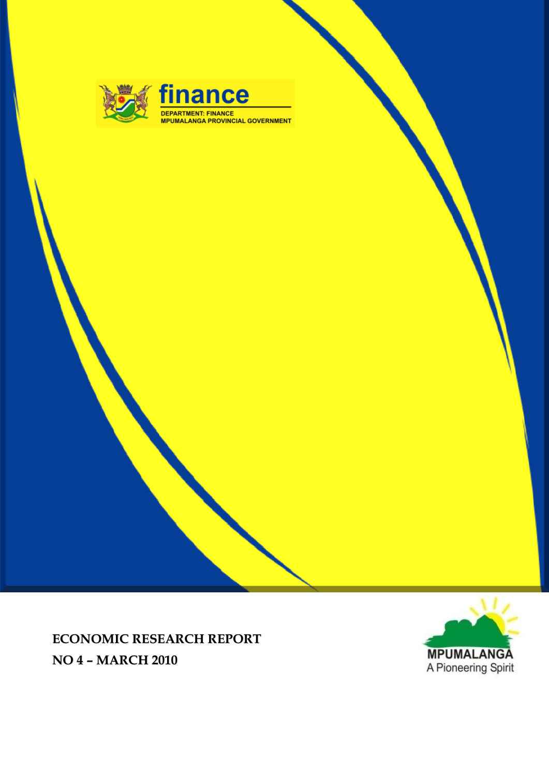

finance DEPARTMENT: FINANCE<br>MPUMALANGA PROVINCIAL GOVERNMENT



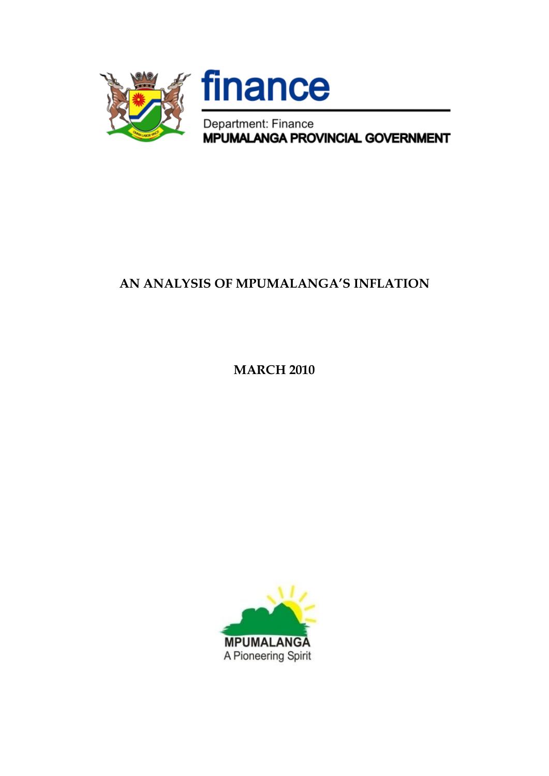



Department: Finance<br>MPUMALANGA PROVINCIAL GOVERNMENT

## **AN ANALYSIS OF MPUMALANGA'S INFLATION**

**MARCH 2010**

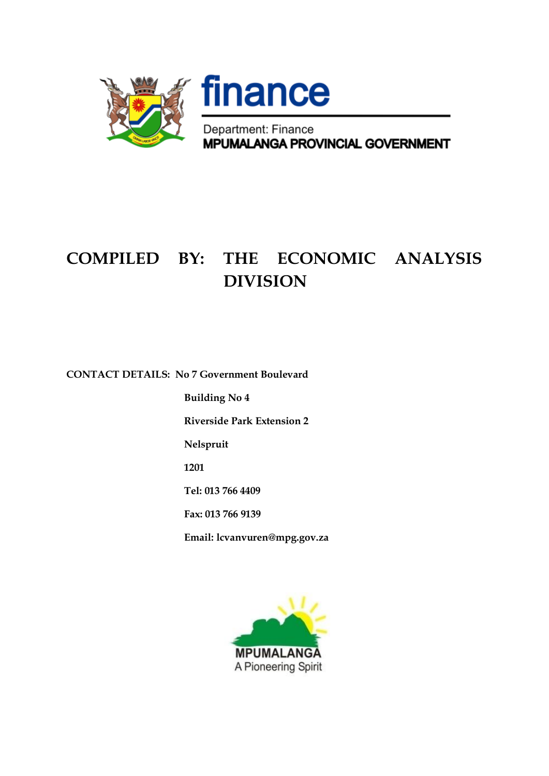

# **COMPILED BY: THE ECONOMIC ANALYSIS DIVISION**

**CONTACT DETAILS: No 7 Government Boulevard**

**Building No 4**

**Riverside Park Extension 2**

**Nelspruit**

**1201**

**Tel: 013 766 4409**

**Fax: 013 766 9139**

**Email: lcvanvuren@mpg.gov.za**

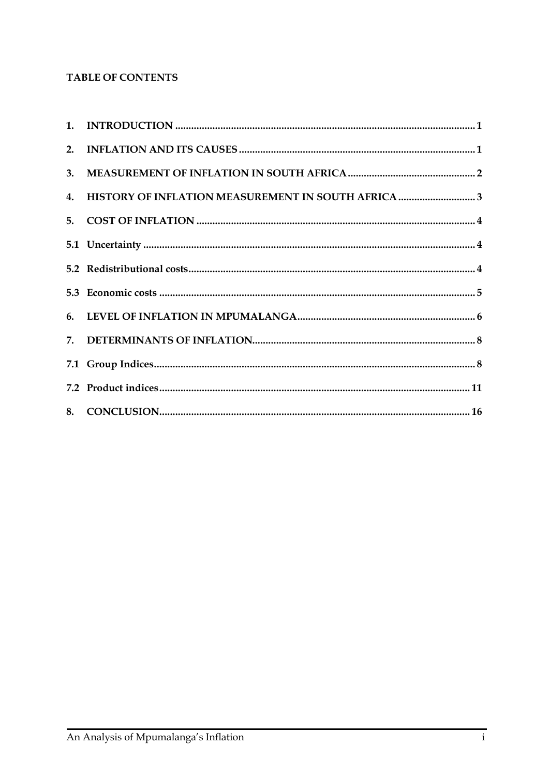### TABLE OF CONTENTS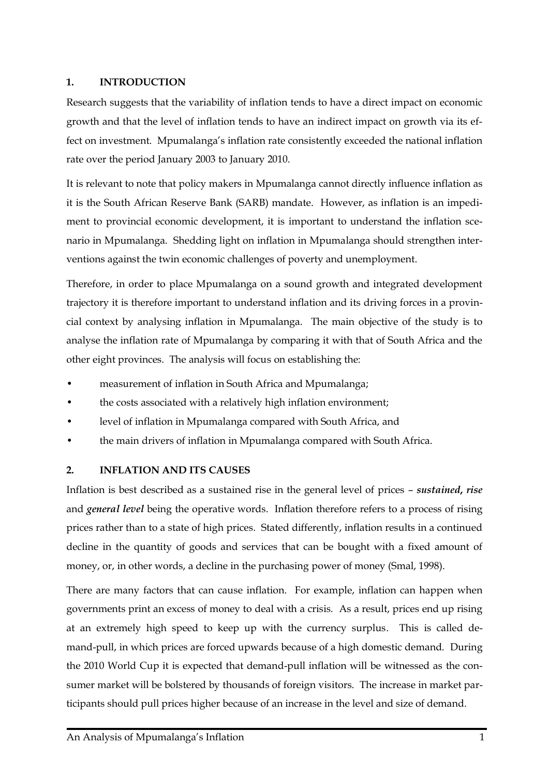#### <span id="page-4-0"></span>**1. INTRODUCTION**

Research suggests that the variability of inflation tends to have a direct impact on economic growth and that the level of inflation tends to have an indirect impact on growth via its effect on investment. Mpumalanga's inflation rate consistently exceeded the national inflation rate over the period January 2003 to January 2010.

It is relevant to note that policy makers in Mpumalanga cannot directly influence inflation as it is the South African Reserve Bank (SARB) mandate. However, as inflation is an impediment to provincial economic development, it is important to understand the inflation scenario in Mpumalanga. Shedding light on inflation in Mpumalanga should strengthen interventions against the twin economic challenges of poverty and unemployment.

Therefore, in order to place Mpumalanga on a sound growth and integrated development trajectory it is therefore important to understand inflation and its driving forces in a provincial context by analysing inflation in Mpumalanga. The main objective of the study is to analyse the inflation rate of Mpumalanga by comparing it with that of South Africa and the other eight provinces. The analysis will focus on establishing the:

- measurement of inflation in South Africa and Mpumalanga;
- the costs associated with a relatively high inflation environment;
- level of inflation in Mpumalanga compared with South Africa, and
- the main drivers of inflation in Mpumalanga compared with South Africa.

#### <span id="page-4-1"></span>**2. INFLATION AND ITS CAUSES**

Inflation is best described as a sustained rise in the general level of prices – *sustained***,** *rise* and *general level* being the operative words. Inflation therefore refers to a process of rising prices rather than to a state of high prices. Stated differently, inflation results in a continued decline in the quantity of goods and services that can be bought with a fixed amount of money, or, in other words, a decline in the purchasing power of money (Smal, 1998).

There are many factors that can cause inflation. For example, inflation can happen when governments print an excess of money to deal with a crisis. As a result, prices end up rising at an extremely high speed to keep up with the currency surplus. This is called demand-pull, in which prices are forced upwards because of a high domestic demand. During the 2010 World Cup it is expected that demand-pull inflation will be witnessed as the consumer market will be bolstered by thousands of foreign visitors. The increase in market participants should pull prices higher because of an increase in the level and size of demand.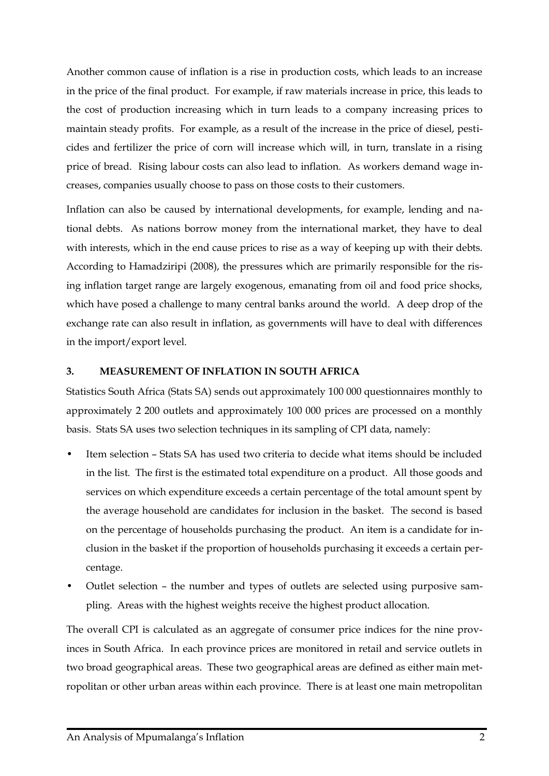Another common cause of inflation is a rise in production costs, which leads to an increase in the price of the final product. For example, if raw materials increase in price, this leads to the cost of production increasing which in turn leads to a company increasing prices to maintain steady profits. For example, as a result of the increase in the price of diesel, pesticides and fertilizer the price of corn will increase which will, in turn, translate in a rising price of bread. Rising labour costs can also lead to inflation. As workers demand wage increases, companies usually choose to pass on those costs to their customers.

Inflation can also be caused by international developments, for example, lending and national debts. As nations borrow money from the international market, they have to deal with interests, which in the end cause prices to rise as a way of keeping up with their debts. According to Hamadziripi (2008), the pressures which are primarily responsible for the rising inflation target range are largely exogenous, emanating from oil and food price shocks, which have posed a challenge to many central banks around the world. A deep drop of the exchange rate can also result in inflation, as governments will have to deal with differences in the import/export level.

#### <span id="page-5-0"></span>**3. MEASUREMENT OF INFLATION IN SOUTH AFRICA**

Statistics South Africa (Stats SA) sends out approximately 100 000 questionnaires monthly to approximately 2 200 outlets and approximately 100 000 prices are processed on a monthly basis. Stats SA uses two selection techniques in its sampling of CPI data, namely:

- Item selection Stats SA has used two criteria to decide what items should be included in the list. The first is the estimated total expenditure on a product. All those goods and services on which expenditure exceeds a certain percentage of the total amount spent by the average household are candidates for inclusion in the basket. The second is based on the percentage of households purchasing the product. An item is a candidate for inclusion in the basket if the proportion of households purchasing it exceeds a certain percentage.
- Outlet selection the number and types of outlets are selected using purposive sampling. Areas with the highest weights receive the highest product allocation.

The overall CPI is calculated as an aggregate of consumer price indices for the nine provinces in South Africa. In each province prices are monitored in retail and service outlets in two broad geographical areas. These two geographical areas are defined as either main metropolitan or other urban areas within each province. There is at least one main metropolitan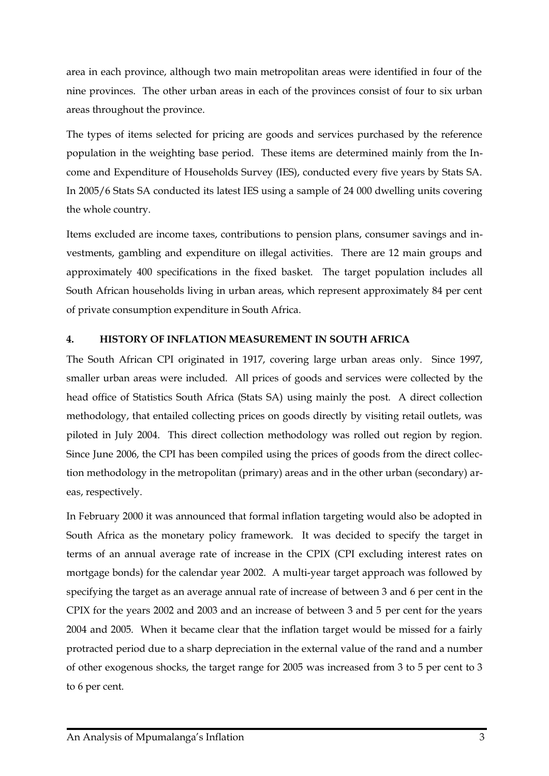area in each province, although two main metropolitan areas were identified in four of the nine provinces. The other urban areas in each of the provinces consist of four to six urban areas throughout the province.

The types of items selected for pricing are goods and services purchased by the reference population in the weighting base period. These items are determined mainly from the Income and Expenditure of Households Survey (IES), conducted every five years by Stats SA. In 2005/6 Stats SA conducted its latest IES using a sample of 24 000 dwelling units covering the whole country.

Items excluded are income taxes, contributions to pension plans, consumer savings and investments, gambling and expenditure on illegal activities. There are 12 main groups and approximately 400 specifications in the fixed basket. The target population includes all South African households living in urban areas, which represent approximately 84 per cent of private consumption expenditure in South Africa.

#### <span id="page-6-0"></span>**4. HISTORY OF INFLATION MEASUREMENT IN SOUTH AFRICA**

The South African CPI originated in 1917, covering large urban areas only. Since 1997, smaller urban areas were included. All prices of goods and services were collected by the head office of Statistics South Africa (Stats SA) using mainly the post. A direct collection methodology, that entailed collecting prices on goods directly by visiting retail outlets, was piloted in July 2004. This direct collection methodology was rolled out region by region. Since June 2006, the CPI has been compiled using the prices of goods from the direct collection methodology in the metropolitan (primary) areas and in the other urban (secondary) areas, respectively.

In February 2000 it was announced that formal inflation targeting would also be adopted in South Africa as the monetary policy framework. It was decided to specify the target in terms of an annual average rate of increase in the CPIX (CPI excluding interest rates on mortgage bonds) for the calendar year 2002. A multi-year target approach was followed by specifying the target as an average annual rate of increase of between 3 and 6 per cent in the CPIX for the years 2002 and 2003 and an increase of between 3 and 5 per cent for the years 2004 and 2005. When it became clear that the inflation target would be missed for a fairly protracted period due to a sharp depreciation in the external value of the rand and a number of other exogenous shocks, the target range for 2005 was increased from 3 to 5 per cent to 3 to 6 per cent.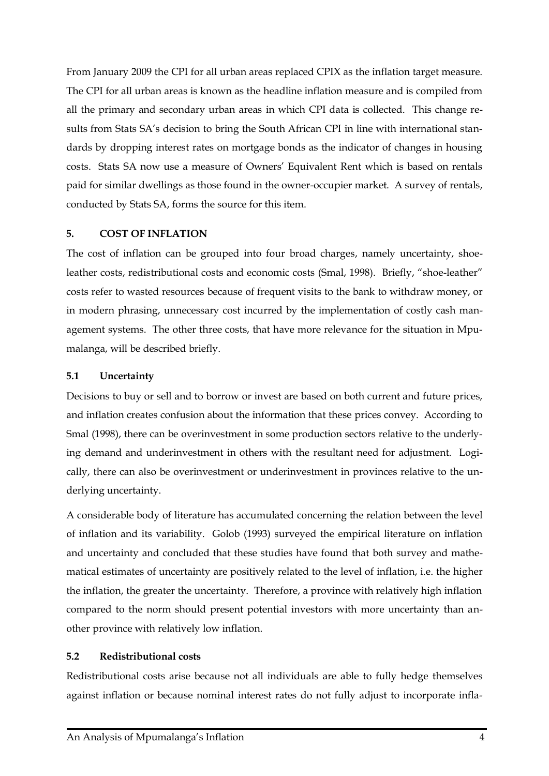From January 2009 the CPI for all urban areas replaced CPIX as the inflation target measure. The CPI for all urban areas is known as the headline inflation measure and is compiled from all the primary and secondary urban areas in which CPI data is collected. This change results from Stats SA's decision to bring the South African CPI in line with international standards by dropping interest rates on mortgage bonds as the indicator of changes in housing costs. Stats SA now use a measure of Owners' Equivalent Rent which is based on rentals paid for similar dwellings as those found in the owner-occupier market. A survey of rentals, conducted by Stats SA, forms the source for this item.

#### <span id="page-7-0"></span>**5. COST OF INFLATION**

The cost of inflation can be grouped into four broad charges, namely uncertainty, shoeleather costs, redistributional costs and economic costs (Smal, 1998). Briefly, "shoe-leather" costs refer to wasted resources because of frequent visits to the bank to withdraw money, or in modern phrasing, unnecessary cost incurred by the implementation of costly cash management systems. The other three costs, that have more relevance for the situation in Mpumalanga, will be described briefly.

#### <span id="page-7-1"></span>**5.1 Uncertainty**

Decisions to buy or sell and to borrow or invest are based on both current and future prices, and inflation creates confusion about the information that these prices convey. According to Smal (1998), there can be overinvestment in some production sectors relative to the underlying demand and underinvestment in others with the resultant need for adjustment. Logically, there can also be overinvestment or underinvestment in provinces relative to the underlying uncertainty.

A considerable body of literature has accumulated concerning the relation between the level of inflation and its variability. Golob (1993) surveyed the empirical literature on inflation and uncertainty and concluded that these studies have found that both survey and mathematical estimates of uncertainty are positively related to the level of inflation, i.e. the higher the inflation, the greater the uncertainty. Therefore, a province with relatively high inflation compared to the norm should present potential investors with more uncertainty than another province with relatively low inflation.

#### <span id="page-7-2"></span>**5.2 Redistributional costs**

Redistributional costs arise because not all individuals are able to fully hedge themselves against inflation or because nominal interest rates do not fully adjust to incorporate infla-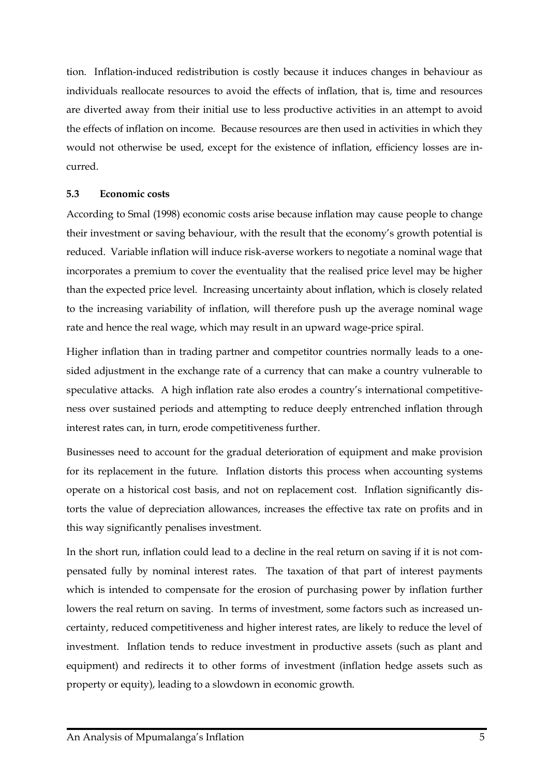tion. Inflation-induced redistribution is costly because it induces changes in behaviour as individuals reallocate resources to avoid the effects of inflation, that is, time and resources are diverted away from their initial use to less productive activities in an attempt to avoid the effects of inflation on income. Because resources are then used in activities in which they would not otherwise be used, except for the existence of inflation, efficiency losses are incurred.

#### <span id="page-8-0"></span>**5.3 Economic costs**

According to Smal (1998) economic costs arise because inflation may cause people to change their investment or saving behaviour, with the result that the economy's growth potential is reduced. Variable inflation will induce risk-averse workers to negotiate a nominal wage that incorporates a premium to cover the eventuality that the realised price level may be higher than the expected price level. Increasing uncertainty about inflation, which is closely related to the increasing variability of inflation, will therefore push up the average nominal wage rate and hence the real wage, which may result in an upward wage-price spiral.

Higher inflation than in trading partner and competitor countries normally leads to a onesided adjustment in the exchange rate of a currency that can make a country vulnerable to speculative attacks. A high inflation rate also erodes a country's international competitiveness over sustained periods and attempting to reduce deeply entrenched inflation through interest rates can, in turn, erode competitiveness further.

Businesses need to account for the gradual deterioration of equipment and make provision for its replacement in the future. Inflation distorts this process when accounting systems operate on a historical cost basis, and not on replacement cost. Inflation significantly distorts the value of depreciation allowances, increases the effective tax rate on profits and in this way significantly penalises investment.

In the short run, inflation could lead to a decline in the real return on saving if it is not compensated fully by nominal interest rates. The taxation of that part of interest payments which is intended to compensate for the erosion of purchasing power by inflation further lowers the real return on saving. In terms of investment, some factors such as increased uncertainty, reduced competitiveness and higher interest rates, are likely to reduce the level of investment. Inflation tends to reduce investment in productive assets (such as plant and equipment) and redirects it to other forms of investment (inflation hedge assets such as property or equity), leading to a slowdown in economic growth.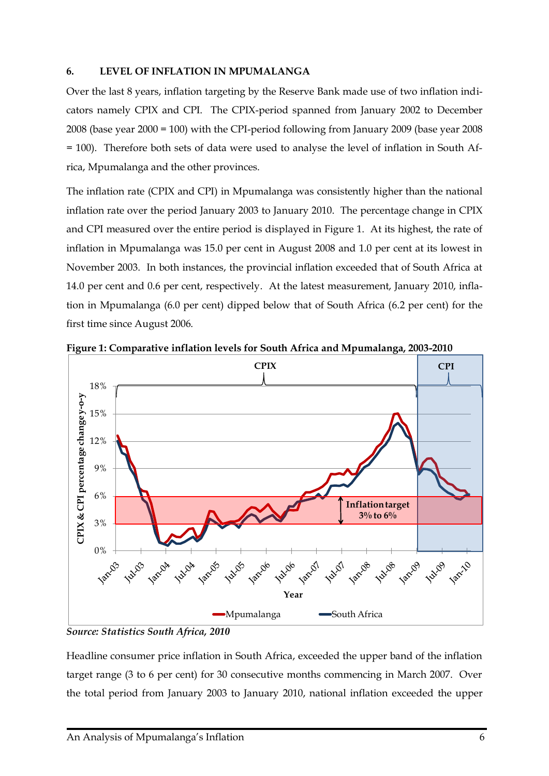#### <span id="page-9-0"></span>**6. LEVEL OF INFLATION IN MPUMALANGA**

Over the last 8 years, inflation targeting by the Reserve Bank made use of two inflation indicators namely CPIX and CPI. The CPIX-period spanned from January 2002 to December 2008 (base year 2000 = 100) with the CPI-period following from January 2009 (base year 2008 = 100). Therefore both sets of data were used to analyse the level of inflation in South Africa, Mpumalanga and the other provinces.

The inflation rate (CPIX and CPI) in Mpumalanga was consistently higher than the national inflation rate over the period January 2003 to January 2010. The percentage change in CPIX and CPI measured over the entire period is displayed in Figure 1. At its highest, the rate of inflation in Mpumalanga was 15.0 per cent in August 2008 and 1.0 per cent at its lowest in November 2003. In both instances, the provincial inflation exceeded that of South Africa at 14.0 per cent and 0.6 per cent, respectively. At the latest measurement, January 2010, inflation in Mpumalanga (6.0 per cent) dipped below that of South Africa (6.2 per cent) for the first time since August 2006.



**Figure 1: Comparative inflation levels for South Africa and Mpumalanga, 2003-2010**

*Source: Statistics South Africa, 2010*

Headline consumer price inflation in South Africa, exceeded the upper band of the inflation target range (3 to 6 per cent) for 30 consecutive months commencing in March 2007. Over the total period from January 2003 to January 2010, national inflation exceeded the upper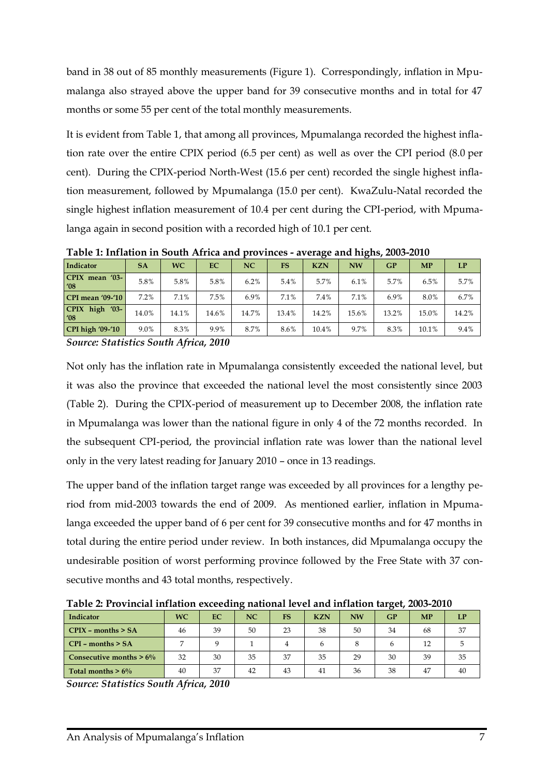band in 38 out of 85 monthly measurements (Figure 1). Correspondingly, inflation in Mpumalanga also strayed above the upper band for 39 consecutive months and in total for 47 months or some 55 per cent of the total monthly measurements.

It is evident from Table 1, that among all provinces, Mpumalanga recorded the highest inflation rate over the entire CPIX period (6.5 per cent) as well as over the CPI period (8.0 per cent). During the CPIX-period North-West (15.6 per cent) recorded the single highest inflation measurement, followed by Mpumalanga (15.0 per cent). KwaZulu-Natal recorded the single highest inflation measurement of 10.4 per cent during the CPI-period, with Mpumalanga again in second position with a recorded high of 10.1 per cent.

|                                              |           |           |           |       |           | . .        | . .       |       |           |       |
|----------------------------------------------|-----------|-----------|-----------|-------|-----------|------------|-----------|-------|-----------|-------|
| Indicator                                    | <b>SA</b> | <b>WC</b> | <b>EC</b> | NC    | <b>FS</b> | <b>KZN</b> | <b>NW</b> | GP    | <b>MP</b> | LP    |
| CPIX mean '03-<br>$^{\prime}08$              | 5.8%      | 5.8%      | 5.8%      | 6.2%  | 5.4%      | 5.7%       | 6.1%      | 5.7%  | 6.5%      | 5.7%  |
| <b>CPI</b> mean '09-'10                      | 7.2%      | 7.1%      | 7.5%      | 6.9%  | 7.1%      | 7.4%       | 7.1%      | 6.9%  | 8.0%      | 6.7%  |
| <b>CPIX</b><br>high $'03$ -<br>$^{\prime}08$ | 14.0%     | 14.1%     | 14.6%     | 14.7% | 13.4%     | 14.2%      | 15.6%     | 13.2% | 15.0%     | 14.2% |
| <b>CPI</b> high '09-'10                      | 9.0%      | 8.3%      | 9.9%      | 8.7%  | 8.6%      | 10.4%      | 9.7%      | 8.3%  | 10.1%     | 9.4%  |
| $\sim$ $\sim$ $\sim$ $\sim$ $\sim$ $\sim$    |           | .         | ----      |       |           |            |           |       |           |       |

**Table 1: Inflation in South Africa and provinces - average and highs, 2003-2010**

*Source: Statistics South Africa, 2010*

Not only has the inflation rate in Mpumalanga consistently exceeded the national level, but it was also the province that exceeded the national level the most consistently since 2003 (Table 2). During the CPIX-period of measurement up to December 2008, the inflation rate in Mpumalanga was lower than the national figure in only 4 of the 72 months recorded. In the subsequent CPI-period, the provincial inflation rate was lower than the national level only in the very latest reading for January 2010 – once in 13 readings.

The upper band of the inflation target range was exceeded by all provinces for a lengthy period from mid-2003 towards the end of 2009. As mentioned earlier, inflation in Mpumalanga exceeded the upper band of 6 per cent for 39 consecutive months and for 47 months in total during the entire period under review. In both instances, did Mpumalanga occupy the undesirable position of worst performing province followed by the Free State with 37 consecutive months and 43 total months, respectively.

**Table 2: Provincial inflation exceeding national level and inflation target, 2003-2010**

| Indicator                   | <b>WC</b> | EC. | NC | <b>FS</b> | <b>KZN</b> | <b>NW</b> | <b>GP</b> | <b>MP</b> | LP |
|-----------------------------|-----------|-----|----|-----------|------------|-----------|-----------|-----------|----|
| $\Gamma$ CPIX – months > SA | 46        | 39  | 50 | 23        | 38         | 50        | 34        | 68        | 37 |
| $\Gamma$ CPI – months > SA  |           |     |    |           | h          |           |           | 12        |    |
| Consecutive months $> 6\%$  | 32        | 30  | 35 | 37        | 35         | 29        | 30        | 39        | 35 |
| Total months $> 6\%$        | 40        | 37  | 42 | 43        | 41         | 36        | 38        | 47        | 40 |

*Source: Statistics South Africa, 2010*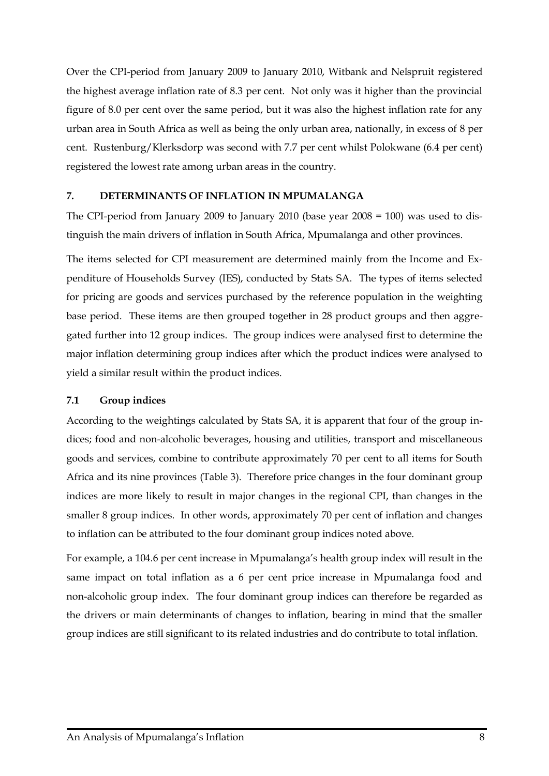Over the CPI-period from January 2009 to January 2010, Witbank and Nelspruit registered the highest average inflation rate of 8.3 per cent. Not only was it higher than the provincial figure of 8.0 per cent over the same period, but it was also the highest inflation rate for any urban area in South Africa as well as being the only urban area, nationally, in excess of 8 per cent. Rustenburg/Klerksdorp was second with 7.7 per cent whilst Polokwane (6.4 per cent) registered the lowest rate among urban areas in the country.

#### <span id="page-11-0"></span>**7. DETERMINANTS OF INFLATION IN MPUMALANGA**

The CPI-period from January 2009 to January 2010 (base year 2008 = 100) was used to distinguish the main drivers of inflation in South Africa, Mpumalanga and other provinces.

The items selected for CPI measurement are determined mainly from the Income and Expenditure of Households Survey (IES), conducted by Stats SA. The types of items selected for pricing are goods and services purchased by the reference population in the weighting base period. These items are then grouped together in 28 product groups and then aggregated further into 12 group indices. The group indices were analysed first to determine the major inflation determining group indices after which the product indices were analysed to yield a similar result within the product indices.

#### <span id="page-11-1"></span>**7.1 Group indices**

According to the weightings calculated by Stats SA, it is apparent that four of the group indices; food and non-alcoholic beverages, housing and utilities, transport and miscellaneous goods and services, combine to contribute approximately 70 per cent to all items for South Africa and its nine provinces (Table 3). Therefore price changes in the four dominant group indices are more likely to result in major changes in the regional CPI, than changes in the smaller 8 group indices. In other words, approximately 70 per cent of inflation and changes to inflation can be attributed to the four dominant group indices noted above.

For example, a 104.6 per cent increase in Mpumalanga's health group index will result in the same impact on total inflation as a 6 per cent price increase in Mpumalanga food and non-alcoholic group index. The four dominant group indices can therefore be regarded as the drivers or main determinants of changes to inflation, bearing in mind that the smaller group indices are still significant to its related industries and do contribute to total inflation.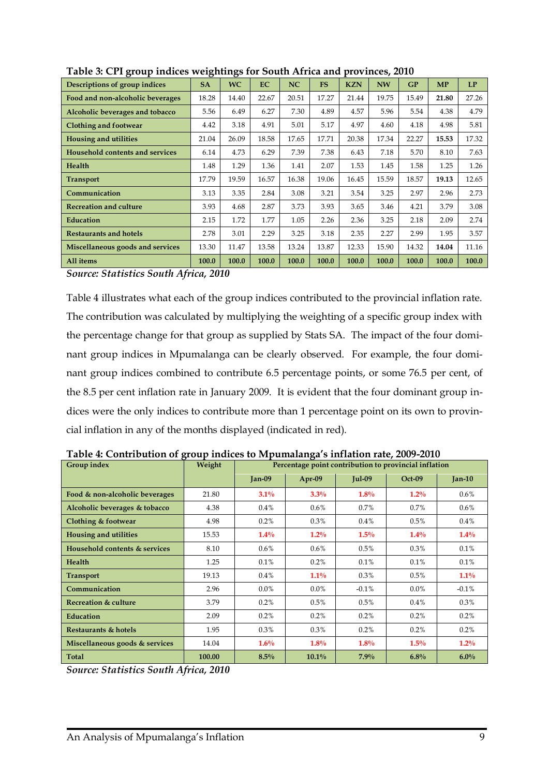| $\sigma$ - $\sim$ $\sim$ r             | ־ס        | ־ס        |           |           |           |            |           |       |       |       |
|----------------------------------------|-----------|-----------|-----------|-----------|-----------|------------|-----------|-------|-------|-------|
| Descriptions of group indices          | <b>SA</b> | <b>WC</b> | <b>EC</b> | <b>NC</b> | <b>FS</b> | <b>KZN</b> | <b>NW</b> | GP    | MP    | LP    |
| Food and non-alcoholic beverages       | 18.28     | 14.40     | 22.67     | 20.51     | 17.27     | 21.44      | 19.75     | 15.49 | 21.80 | 27.26 |
| Alcoholic beverages and tobacco        | 5.56      | 6.49      | 6.27      | 7.30      | 4.89      | 4.57       | 5.96      | 5.54  | 4.38  | 4.79  |
| Clothing and footwear                  | 4.42      | 3.18      | 4.91      | 5.01      | 5.17      | 4.97       | 4.60      | 4.18  | 4.98  | 5.81  |
| <b>Housing and utilities</b>           | 21.04     | 26.09     | 18.58     | 17.65     | 17.71     | 20.38      | 17.34     | 22.27 | 15.53 | 17.32 |
| <b>Household contents and services</b> | 6.14      | 4.73      | 6.29      | 7.39      | 7.38      | 6.43       | 7.18      | 5.70  | 8.10  | 7.63  |
| <b>Health</b>                          | 1.48      | 1.29      | 1.36      | 1.41      | 2.07      | 1.53       | 1.45      | 1.58  | 1.25  | 1.26  |
| <b>Transport</b>                       | 17.79     | 19.59     | 16.57     | 16.38     | 19.06     | 16.45      | 15.59     | 18.57 | 19.13 | 12.65 |
| Communication                          | 3.13      | 3.35      | 2.84      | 3.08      | 3.21      | 3.54       | 3.25      | 2.97  | 2.96  | 2.73  |
| <b>Recreation and culture</b>          | 3.93      | 4.68      | 2.87      | 3.73      | 3.93      | 3.65       | 3.46      | 4.21  | 3.79  | 3.08  |
| Education                              | 2.15      | 1.72      | 1.77      | 1.05      | 2.26      | 2.36       | 3.25      | 2.18  | 2.09  | 2.74  |
| <b>Restaurants and hotels</b>          | 2.78      | 3.01      | 2.29      | 3.25      | 3.18      | 2.35       | 2.27      | 2.99  | 1.95  | 3.57  |
| Miscellaneous goods and services       | 13.30     | 11.47     | 13.58     | 13.24     | 13.87     | 12.33      | 15.90     | 14.32 | 14.04 | 11.16 |
| All items                              | 100.0     | 100.0     | 100.0     | 100.0     | 100.0     | 100.0      | 100.0     | 100.0 | 100.0 | 100.0 |

**Table 3: CPI group indices weightings for South Africa and provinces, 2010**

*Source: Statistics South Africa, 2010*

Table 4 illustrates what each of the group indices contributed to the provincial inflation rate. The contribution was calculated by multiplying the weighting of a specific group index with the percentage change for that group as supplied by Stats SA. The impact of the four dominant group indices in Mpumalanga can be clearly observed. For example, the four dominant group indices combined to contribute 6.5 percentage points, or some 76.5 per cent, of the 8.5 per cent inflation rate in January 2009. It is evident that the four dominant group indices were the only indices to contribute more than 1 percentage point on its own to provincial inflation in any of the months displayed (indicated in red).

| Group index                    | Weight |          | Percentage point contribution to provincial inflation |               |          |          |
|--------------------------------|--------|----------|-------------------------------------------------------|---------------|----------|----------|
|                                |        | $Jan-09$ | Apr-09                                                | <b>Jul-09</b> | $Oct-09$ | $Jan-10$ |
| Food & non-alcoholic beverages | 21.80  | $3.1\%$  | $3.3\%$                                               | 1.8%          | $1.2\%$  | $0.6\%$  |
| Alcoholic beverages & tobacco  | 4.38   | $0.4\%$  | $0.6\%$                                               | $0.7\%$       | 0.7%     | $0.6\%$  |
| Clothing & footwear            | 4.98   | 0.2%     | 0.3%                                                  | $0.4\%$       | 0.5%     | 0.4%     |
| <b>Housing and utilities</b>   | 15.53  | $1.4\%$  | $1.2\%$                                               | 1.5%          | $1.4\%$  | $1.4\%$  |
| Household contents & services  | 8.10   | $0.6\%$  | $0.6\%$                                               | 0.5%          | 0.3%     | 0.1%     |
| <b>Health</b>                  | 1.25   | 0.1%     | 0.2%                                                  | 0.1%          | 0.1%     | 0.1%     |
| <b>Transport</b>               | 19.13  | $0.4\%$  | $1.1\%$                                               | $0.3\%$       | 0.5%     | $1.1\%$  |
| Communication                  | 2.96   | $0.0\%$  | $0.0\%$                                               | $-0.1\%$      | $0.0\%$  | $-0.1%$  |
| Recreation & culture           | 3.79   | 0.2%     | 0.5%                                                  | 0.5%          | $0.4\%$  | 0.3%     |
| <b>Education</b>               | 2.09   | 0.2%     | 0.2%                                                  | 0.2%          | 0.2%     | 0.2%     |
| Restaurants & hotels           | 1.95   | 0.3%     | $0.3\%$                                               | $0.2\%$       | 0.2%     | 0.2%     |
| Miscellaneous goods & services | 14.04  | $1.6\%$  | $1.8\%$                                               | 1.8%          | $1.5\%$  | $1.2\%$  |
| <b>Total</b>                   | 100.00 | 8.5%     | $10.1\%$                                              | 7.9%          | 6.8%     | $6.0\%$  |

**Table 4: Contribution of group indices to Mpumalanga's inflation rate, 2009-2010**

*Source: Statistics South Africa, 2010*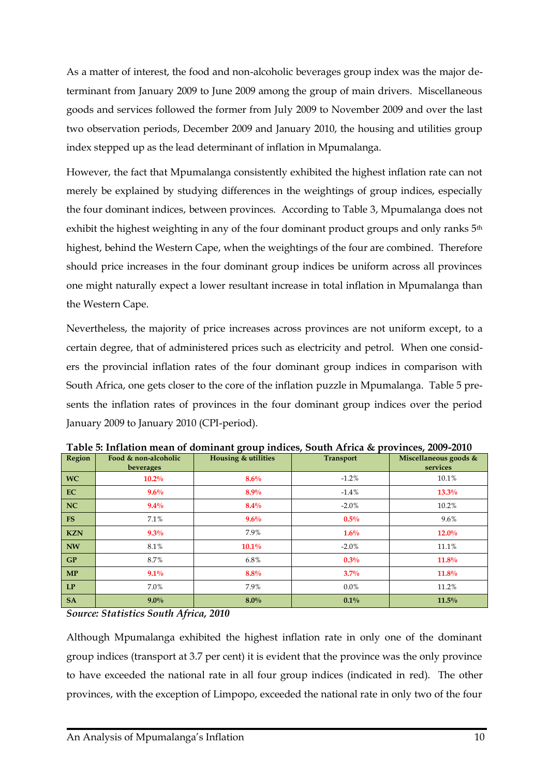As a matter of interest, the food and non-alcoholic beverages group index was the major determinant from January 2009 to June 2009 among the group of main drivers. Miscellaneous goods and services followed the former from July 2009 to November 2009 and over the last two observation periods, December 2009 and January 2010, the housing and utilities group index stepped up as the lead determinant of inflation in Mpumalanga.

However, the fact that Mpumalanga consistently exhibited the highest inflation rate can not merely be explained by studying differences in the weightings of group indices, especially the four dominant indices, between provinces. According to Table 3, Mpumalanga does not exhibit the highest weighting in any of the four dominant product groups and only ranks 5<sup>th</sup> highest, behind the Western Cape, when the weightings of the four are combined. Therefore should price increases in the four dominant group indices be uniform across all provinces one might naturally expect a lower resultant increase in total inflation in Mpumalanga than the Western Cape.

Nevertheless, the majority of price increases across provinces are not uniform except, to a certain degree, that of administered prices such as electricity and petrol. When one considers the provincial inflation rates of the four dominant group indices in comparison with South Africa, one gets closer to the core of the inflation puzzle in Mpumalanga. Table 5 presents the inflation rates of provinces in the four dominant group indices over the period January 2009 to January 2010 (CPI-period).

| Region     | Food & non-alcoholic<br>beverages | <b>Housing &amp; utilities</b> | <b>Transport</b> | Miscellaneous goods &<br>services |
|------------|-----------------------------------|--------------------------------|------------------|-----------------------------------|
| <b>WC</b>  | $10.2\%$                          | 8.6%                           | $-1.2%$          | 10.1%                             |
| EC         | $9.6\%$                           | 8.9%                           | $-1.4%$          | $13.3\%$                          |
| <b>NC</b>  | $9.4\%$                           | $8.4\%$                        | $-2.0%$          | 10.2%                             |
| <b>FS</b>  | 7.1%                              | 9.6%                           | $0.5\%$          | 9.6%                              |
| <b>KZN</b> | $9.3\%$                           | 7.9%                           | $1.6\%$          | $12.0\%$                          |
| <b>NW</b>  | 8.1%                              | $10.1\%$                       | $-2.0\%$         | 11.1%                             |
| GP         | 8.7%                              | 6.8%                           | $0.3\%$          | 11.8%                             |
| <b>MP</b>  | $9.1\%$                           | 8.8%                           | 3.7%             | 11.8%                             |
| LP         | 7.0%                              | 7.9%                           | $0.0\%$          | 11.2%                             |
| <b>SA</b>  | $9.0\%$                           | $8.0\%$                        | $0.1\%$          | 11.5%                             |

**Table 5: Inflation mean of dominant group indices, South Africa & provinces, 2009-2010**

*Source: Statistics South Africa, 2010*

Although Mpumalanga exhibited the highest inflation rate in only one of the dominant group indices (transport at 3.7 per cent) it is evident that the province was the only province to have exceeded the national rate in all four group indices (indicated in red). The other provinces, with the exception of Limpopo, exceeded the national rate in only two of the four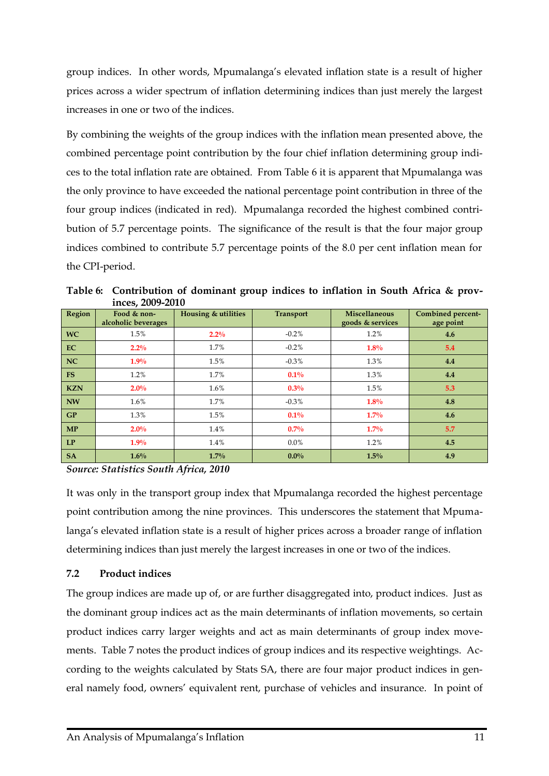group indices. In other words, Mpumalanga's elevated inflation state is a result of higher prices across a wider spectrum of inflation determining indices than just merely the largest increases in one or two of the indices.

By combining the weights of the group indices with the inflation mean presented above, the combined percentage point contribution by the four chief inflation determining group indices to the total inflation rate are obtained. From Table 6 it is apparent that Mpumalanga was the only province to have exceeded the national percentage point contribution in three of the four group indices (indicated in red). Mpumalanga recorded the highest combined contribution of 5.7 percentage points. The significance of the result is that the four major group indices combined to contribute 5.7 percentage points of the 8.0 per cent inflation mean for the CPI-period.

|            | $\mathbf{H}\mathbf{C}\mathbf{C}$   |                     |                  |                                          |                                       |
|------------|------------------------------------|---------------------|------------------|------------------------------------------|---------------------------------------|
| Region     | Food & non-<br>alcoholic beverages | Housing & utilities | <b>Transport</b> | <b>Miscellaneous</b><br>goods & services | <b>Combined percent-</b><br>age point |
| <b>WC</b>  | 1.5%                               | $2.2\%$             | $-0.2%$          | 1.2%                                     | 4.6                                   |
| EC         | $2.2\%$                            | 1.7%                | $-0.2%$          | $1.8\%$                                  | 5.4                                   |
| NC         | 1.9%                               | 1.5%                | $-0.3\%$         | 1.3%                                     | 4.4                                   |
| <b>FS</b>  | 1.2%                               | 1.7%                | $0.1\%$          | 1.3%                                     | 4.4                                   |
| <b>KZN</b> | $2.0\%$                            | $1.6\%$             | $0.3\%$          | 1.5%                                     | 5.3                                   |
| <b>NW</b>  | $1.6\%$                            | 1.7%                | $-0.3\%$         | 1.8%                                     | 4.8                                   |
| GP         | 1.3%                               | 1.5%                | $0.1\%$          | $1.7\%$                                  | 4.6                                   |
| MP         | $2.0\%$                            | 1.4%                | 0.7%             | $1.7\%$                                  | 5.7                                   |
| LP         | $1.9\%$                            | 1.4%                | $0.0\%$          | 1.2%                                     | 4.5                                   |
| <b>SA</b>  | $1.6\%$                            | $1.7\%$             | $0.0\%$          | 1.5%                                     | 4.9                                   |

**Table 6: Contribution of dominant group indices to inflation in South Africa & provinces, 2009-2010**

*Source: Statistics South Africa, 2010*

<span id="page-14-0"></span>It was only in the transport group index that Mpumalanga recorded the highest percentage point contribution among the nine provinces. This underscores the statement that Mpumalanga's elevated inflation state is a result of higher prices across a broader range of inflation determining indices than just merely the largest increases in one or two of the indices.

#### **7.2 Product indices**

The group indices are made up of, or are further disaggregated into, product indices. Just as the dominant group indices act as the main determinants of inflation movements, so certain product indices carry larger weights and act as main determinants of group index movements. Table 7 notes the product indices of group indices and its respective weightings. According to the weights calculated by Stats SA, there are four major product indices in general namely food, owners' equivalent rent, purchase of vehicles and insurance. In point of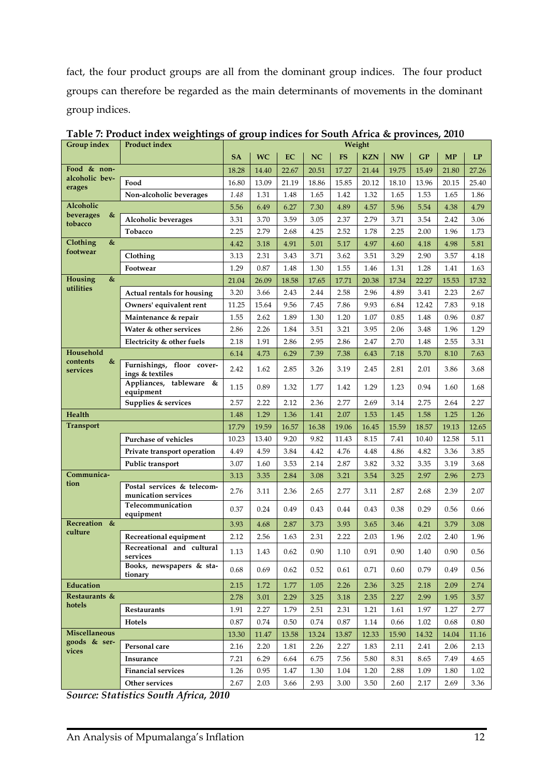fact, the four product groups are all from the dominant group indices. The four product groups can therefore be regarded as the main determinants of movements in the dominant group indices.

| Group index                | <b>Product index</b>                                  |           |           |       |           | Weight    |            |           |       |           |           |
|----------------------------|-------------------------------------------------------|-----------|-----------|-------|-----------|-----------|------------|-----------|-------|-----------|-----------|
|                            |                                                       | <b>SA</b> | <b>WC</b> | EC    | <b>NC</b> | <b>FS</b> | <b>KZN</b> | <b>NW</b> | GP    | <b>MP</b> | <b>LP</b> |
| Food & non-                |                                                       | 18.28     | 14.40     | 22.67 | 20.51     | 17.27     | 21.44      | 19.75     | 15.49 | 21.80     | 27.26     |
| alcoholic bev-<br>erages   | Food                                                  | 16.80     | 13.09     | 21.19 | 18.86     | 15.85     | 20.12      | 18.10     | 13.96 | 20.15     | 25.40     |
|                            | Non-alcoholic beverages                               | 1.48      | 1.31      | 1.48  | 1.65      | 1.42      | 1.32       | 1.65      | 1.53  | 1.65      | 1.86      |
| <b>Alcoholic</b>           |                                                       | 5.56      | 6.49      | 6.27  | 7.30      | 4.89      | 4.57       | 5.96      | 5.54  | 4.38      | 4.79      |
| &<br>beverages<br>tobacco  | Alcoholic beverages                                   | 3.31      | 3.70      | 3.59  | 3.05      | 2.37      | 2.79       | 3.71      | 3.54  | 2.42      | 3.06      |
|                            | Tobacco                                               | 2.25      | 2.79      | 2.68  | 4.25      | 2.52      | 1.78       | 2.25      | 2.00  | 1.96      | 1.73      |
| Clothing<br>&              |                                                       | 4.42      | 3.18      | 4.91  | 5.01      | 5.17      | 4.97       | 4.60      | 4.18  | 4.98      | 5.81      |
| footwear                   | Clothing                                              | 3.13      | 2.31      | 3.43  | 3.71      | 3.62      | 3.51       | 3.29      | 2.90  | 3.57      | 4.18      |
|                            | Footwear                                              | 1.29      | 0.87      | 1.48  | 1.30      | 1.55      | 1.46       | 1.31      | 1.28  | 1.41      | 1.63      |
| Housing<br>&               |                                                       | 21.04     | 26.09     | 18.58 | 17.65     | 17.71     | 20.38      | 17.34     | 22.27 | 15.53     | 17.32     |
| utilities                  | Actual rentals for housing                            | 3.20      | 3.66      | 2.43  | 2.44      | 2.58      | 2.96       | 4.89      | 3.41  | 2.23      | 2.67      |
|                            | Owners' equivalent rent                               | 11.25     | 15.64     | 9.56  | 7.45      | 7.86      | 9.93       | 6.84      | 12.42 | 7.83      | 9.18      |
|                            | Maintenance & repair                                  | 1.55      | 2.62      | 1.89  | 1.30      | 1.20      | 1.07       | 0.85      | 1.48  | 0.96      | 0.87      |
|                            | Water & other services                                | 2.86      | 2.26      | 1.84  | 3.51      | 3.21      | 3.95       | 2.06      | 3.48  | 1.96      | 1.29      |
|                            | Electricity & other fuels                             | 2.18      | 1.91      | 2.86  | 2.95      | 2.86      | 2.47       | 2.70      | 1.48  | 2.55      | 3.31      |
| Household<br>contents<br>& |                                                       | 6.14      | 4.73      | 6.29  | 7.39      | 7.38      | 6.43       | 7.18      | 5.70  | 8.10      | 7.63      |
| services                   | Furnishings, floor cover-<br>ings & textiles          | 2.42      | 1.62      | 2.85  | 3.26      | 3.19      | 2.45       | 2.81      | 2.01  | 3.86      | 3.68      |
|                            | Appliances, tableware &<br>equipment                  | 1.15      | 0.89      | 1.32  | 1.77      | 1.42      | 1.29       | 1.23      | 0.94  | 1.60      | 1.68      |
|                            | Supplies & services                                   | 2.57      | 2.22      | 2.12  | 2.36      | 2.77      | 2.69       | 3.14      | 2.75  | 2.64      | 2.27      |
| Health                     |                                                       | 1.48      | 1.29      | 1.36  | 1.41      | 2.07      | 1.53       | 1.45      | 1.58  | 1.25      | 1.26      |
| <b>Transport</b>           |                                                       | 17.79     | 19.59     | 16.57 | 16.38     | 19.06     | 16.45      | 15.59     | 18.57 | 19.13     | 12.65     |
|                            | Purchase of vehicles                                  | 10.23     | 13.40     | 9.20  | 9.82      | 11.43     | 8.15       | 7.41      | 10.40 | 12.58     | 5.11      |
|                            | Private transport operation                           | 4.49      | 4.59      | 3.84  | 4.42      | 4.76      | 4.48       | 4.86      | 4.82  | 3.36      | 3.85      |
|                            | Public transport                                      | 3.07      | 1.60      | 3.53  | 2.14      | 2.87      | 3.82       | 3.32      | 3.35  | 3.19      | 3.68      |
| Communica-<br>tion         |                                                       | 3.13      | 3.35      | 2.84  | 3.08      | 3.21      | 3.54       | 3.25      | 2.97  | 2.96      | 2.73      |
|                            | Postal services & telecom-<br>munication services     | 2.76      | 3.11      | 2.36  | 2.65      | 2.77      | 3.11       | 2.87      | 2.68  | 2.39      | 2.07      |
|                            | Telecommunication<br>equipment                        | 0.37      | 0.24      | 0.49  | 0.43      | 0.44      | 0.43       | 0.38      | 0.29  | 0.56      | 0.66      |
| Recreation &               |                                                       | 3.93      | 4.68      | 2.87  | 3.73      | 3.93      | 3.65       | 3.46      | 4.21  | 3.79      | 3.08      |
| culture                    | Recreational equipment                                | 2.12      | 2.56      | 1.63  | 2.31      | 2.22      | 2.03       | 1.96      | 2.02  | 2.40      | 1.96      |
|                            | Recreational and cultural<br>$\displaystyle$ services | 1.13      | 1.43      | 0.62  | 0.90      | 1.10      | 0.91       | 0.90      | 1.40  | 0.90      | 0.56      |
|                            | Books, newspapers & sta-<br>tionary                   | 0.68      | 0.69      | 0.62  | 0.52      | 0.61      | 0.71       | 0.60      | 0.79  | 0.49      | 0.56      |
| Education                  |                                                       | 2.15      | 1.72      | 1.77  | 1.05      | 2.26      | 2.36       | 3.25      | 2.18  | 2.09      | 2.74      |
| Restaurants &              |                                                       | 2.78      | 3.01      | 2.29  | 3.25      | 3.18      | 2.35       | 2.27      | 2.99  | 1.95      | 3.57      |
| hotels                     | Restaurants                                           | 1.91      | 2.27      | 1.79  | 2.51      | 2.31      | 1.21       | 1.61      | 1.97  | 1.27      | 2.77      |
|                            | Hotels                                                | 0.87      | 0.74      | 0.50  | 0.74      | 0.87      | 1.14       | 0.66      | 1.02  | 0.68      | 0.80      |
| Miscellaneous              |                                                       | 13.30     | 11.47     | 13.58 | 13.24     | 13.87     | 12.33      | 15.90     | 14.32 | 14.04     | 11.16     |
| goods & ser-<br>vices      | Personal care                                         | 2.16      | 2.20      | 1.81  | 2.26      | 2.27      | 1.83       | 2.11      | 2.41  | 2.06      | 2.13      |
|                            | Insurance                                             | 7.21      | 6.29      | 6.64  | 6.75      | 7.56      | 5.80       | 8.31      | 8.65  | 7.49      | 4.65      |
|                            | <b>Financial services</b>                             | 1.26      | 0.95      | 1.47  | 1.30      | 1.04      | 1.20       | 2.88      | 1.09  | 1.80      | 1.02      |
|                            | Other services                                        | 2.67      | 2.03      | 3.66  | 2.93      | 3.00      | 3.50       | 2.60      | 2.17  | 2.69      | 3.36      |

**Table 7: Product index weightings of group indices for South Africa & provinces, 2010**

*Source: Statistics South Africa, 2010*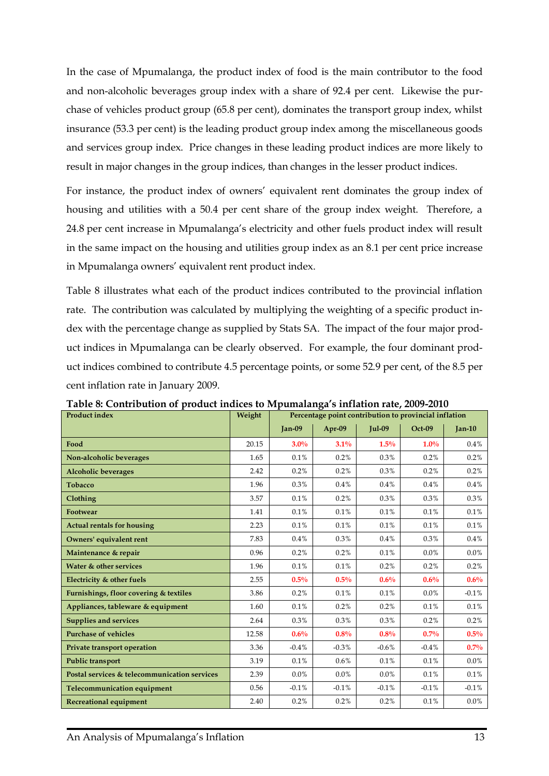In the case of Mpumalanga, the product index of food is the main contributor to the food and non-alcoholic beverages group index with a share of 92.4 per cent. Likewise the purchase of vehicles product group (65.8 per cent), dominates the transport group index, whilst insurance (53.3 per cent) is the leading product group index among the miscellaneous goods and services group index. Price changes in these leading product indices are more likely to result in major changes in the group indices, than changes in the lesser product indices.

For instance, the product index of owners' equivalent rent dominates the group index of housing and utilities with a 50.4 per cent share of the group index weight. Therefore, a 24.8 per cent increase in Mpumalanga's electricity and other fuels product index will result in the same impact on the housing and utilities group index as an 8.1 per cent price increase in Mpumalanga owners' equivalent rent product index.

Table 8 illustrates what each of the product indices contributed to the provincial inflation rate. The contribution was calculated by multiplying the weighting of a specific product index with the percentage change as supplied by Stats SA. The impact of the four major product indices in Mpumalanga can be clearly observed. For example, the four dominant product indices combined to contribute 4.5 percentage points, or some 52.9 per cent, of the 8.5 per cent inflation rate in January 2009.

| <b>Product index</b>                         | Weight |               |         |               | Percentage point contribution to provincial inflation |          |
|----------------------------------------------|--------|---------------|---------|---------------|-------------------------------------------------------|----------|
|                                              |        | <b>Jan-09</b> | Apr-09  | <b>Jul-09</b> | $Oct-09$                                              | $Jan-10$ |
| Food                                         | 20.15  | $3.0\%$       | 3.1%    | 1.5%          | $1.0\%$                                               | $0.4\%$  |
| Non-alcoholic beverages                      | 1.65   | 0.1%          | 0.2%    | 0.3%          | 0.2%                                                  | 0.2%     |
| <b>Alcoholic beverages</b>                   | 2.42   | 0.2%          | 0.2%    | 0.3%          | 0.2%                                                  | 0.2%     |
| <b>Tobacco</b>                               | 1.96   | 0.3%          | 0.4%    | 0.4%          | 0.4%                                                  | 0.4%     |
| Clothing                                     | 3.57   | 0.1%          | 0.2%    | 0.3%          | 0.3%                                                  | 0.3%     |
| Footwear                                     | 1.41   | 0.1%          | 0.1%    | 0.1%          | 0.1%                                                  | 0.1%     |
| <b>Actual rentals for housing</b>            | 2.23   | 0.1%          | 0.1%    | 0.1%          | 0.1%                                                  | 0.1%     |
| Owners' equivalent rent                      | 7.83   | 0.4%          | 0.3%    | 0.4%          | $0.3\%$                                               | 0.4%     |
| Maintenance & repair                         | 0.96   | 0.2%          | 0.2%    | 0.1%          | $0.0\%$                                               | 0.0%     |
| Water & other services                       | 1.96   | 0.1%          | 0.1%    | 0.2%          | 0.2%                                                  | 0.2%     |
| Electricity & other fuels                    | 2.55   | $0.5\%$       | $0.5\%$ | 0.6%          | 0.6%                                                  | 0.6%     |
| Furnishings, floor covering & textiles       | 3.86   | 0.2%          | 0.1%    | 0.1%          | $0.0\%$                                               | $-0.1%$  |
| Appliances, tableware & equipment            | 1.60   | 0.1%          | 0.2%    | 0.2%          | 0.1%                                                  | 0.1%     |
| <b>Supplies and services</b>                 | 2.64   | 0.3%          | 0.3%    | 0.3%          | 0.2%                                                  | 0.2%     |
| <b>Purchase of vehicles</b>                  | 12.58  | 0.6%          | 0.8%    | 0.8%          | 0.7%                                                  | $0.5\%$  |
| Private transport operation                  | 3.36   | $-0.4%$       | $-0.3%$ | $-0.6%$       | $-0.4%$                                               | 0.7%     |
| <b>Public transport</b>                      | 3.19   | 0.1%          | 0.6%    | 0.1%          | 0.1%                                                  | 0.0%     |
| Postal services & telecommunication services | 2.39   | $0.0\%$       | 0.0%    | $0.0\%$       | 0.1%                                                  | 0.1%     |
| <b>Telecommunication equipment</b>           | 0.56   | $-0.1%$       | $-0.1%$ | $-0.1%$       | $-0.1%$                                               | $-0.1%$  |
| <b>Recreational equipment</b>                | 2.40   | 0.2%          | 0.2%    | 0.2%          | 0.1%                                                  | 0.0%     |

**Table 8: Contribution of product indices to Mpumalanga's inflation rate, 2009-2010**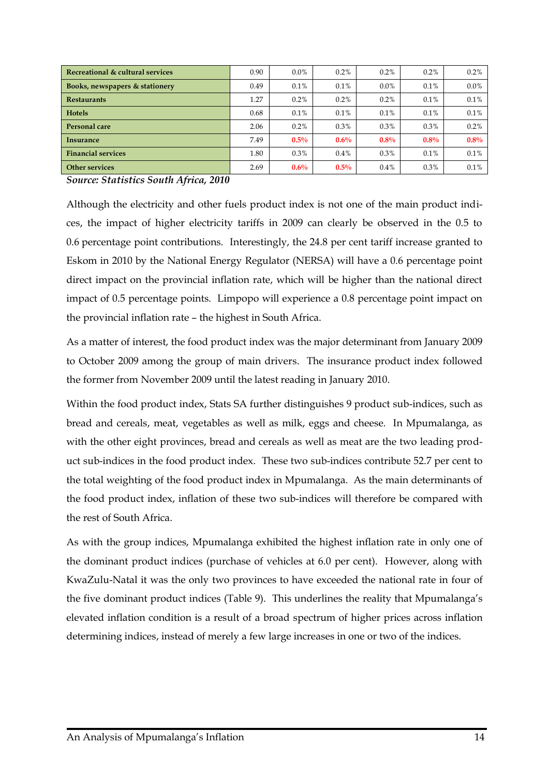| Recreational & cultural services | 0.90 | $0.0\%$ | 0.2%    | 0.2%    | 0.2%    | 0.2%    |
|----------------------------------|------|---------|---------|---------|---------|---------|
| Books, newspapers & stationery   | 0.49 | 0.1%    | 0.1%    | $0.0\%$ | $0.1\%$ | $0.0\%$ |
| <b>Restaurants</b>               | 1.27 | $0.2\%$ | 0.2%    | $0.2\%$ | $0.1\%$ | 0.1%    |
| <b>Hotels</b>                    | 0.68 | 0.1%    | 0.1%    | 0.1%    | 0.1%    | 0.1%    |
| Personal care                    | 2.06 | $0.2\%$ | 0.3%    | 0.3%    | $0.3\%$ | 0.2%    |
| Insurance                        | 7.49 | $0.5\%$ | $0.6\%$ | $0.8\%$ | $0.8\%$ | $0.8\%$ |
| <b>Financial services</b>        | 1.80 | $0.3\%$ | 0.4%    | $0.3\%$ | 0.1%    | 0.1%    |
| <b>Other services</b>            | 2.69 | $0.6\%$ | $0.5\%$ | $0.4\%$ | 0.3%    | 0.1%    |

*Source: Statistics South Africa, 2010*

Although the electricity and other fuels product index is not one of the main product indices, the impact of higher electricity tariffs in 2009 can clearly be observed in the 0.5 to 0.6 percentage point contributions. Interestingly, the 24.8 per cent tariff increase granted to Eskom in 2010 by the National Energy Regulator (NERSA) will have a 0.6 percentage point direct impact on the provincial inflation rate, which will be higher than the national direct impact of 0.5 percentage points. Limpopo will experience a 0.8 percentage point impact on the provincial inflation rate – the highest in South Africa.

As a matter of interest, the food product index was the major determinant from January 2009 to October 2009 among the group of main drivers. The insurance product index followed the former from November 2009 until the latest reading in January 2010.

Within the food product index, Stats SA further distinguishes 9 product sub-indices, such as bread and cereals, meat, vegetables as well as milk, eggs and cheese. In Mpumalanga, as with the other eight provinces, bread and cereals as well as meat are the two leading product sub-indices in the food product index. These two sub-indices contribute 52.7 per cent to the total weighting of the food product index in Mpumalanga. As the main determinants of the food product index, inflation of these two sub-indices will therefore be compared with the rest of South Africa.

As with the group indices, Mpumalanga exhibited the highest inflation rate in only one of the dominant product indices (purchase of vehicles at 6.0 per cent). However, along with KwaZulu-Natal it was the only two provinces to have exceeded the national rate in four of the five dominant product indices (Table 9). This underlines the reality that Mpumalanga's elevated inflation condition is a result of a broad spectrum of higher prices across inflation determining indices, instead of merely a few large increases in one or two of the indices.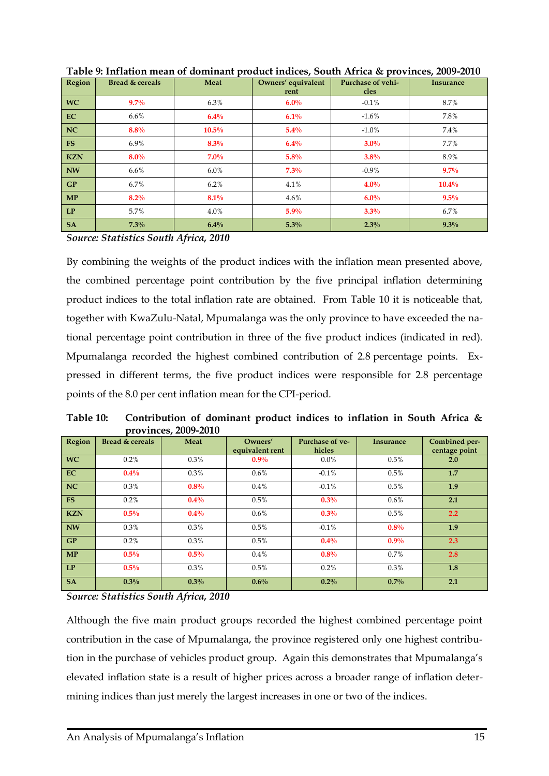| Region     | Bread & cereals | Meat     | Owners' equivalent<br>rent | Purchase of vehi-<br>cles | <b>Insurance</b> |
|------------|-----------------|----------|----------------------------|---------------------------|------------------|
| <b>WC</b>  | $9.7\%$         | 6.3%     | $6.0\%$                    | $-0.1\%$                  | 8.7%             |
| EC         | $6.6\%$         | 6.4%     | 6.1%                       | $-1.6%$                   | 7.8%             |
| NC         | $8.8\%$         | $10.5\%$ | 5.4%                       | $-1.0%$                   | 7.4%             |
| <b>FS</b>  | 6.9%            | $8.3\%$  | 6.4%                       | $3.0\%$                   | 7.7%             |
| <b>KZN</b> | $8.0\%$         | $7.0\%$  | 5.8%                       | $3.8\%$                   | 8.9%             |
| <b>NW</b>  | $6.6\%$         | $6.0\%$  | $7.3\%$                    | $-0.9\%$                  | $9.7\%$          |
| GP         | 6.7%            | 6.2%     | 4.1%                       | $4.0\%$                   | $10.4\%$         |
| <b>MP</b>  | $8.2\%$         | 8.1%     | $4.6\%$                    | $6.0\%$                   | $9.5\%$          |
| LP         | 5.7%            | 4.0%     | 5.9%                       | $3.3\%$                   | 6.7%             |
| <b>SA</b>  | 7.3%            | $6.4\%$  | $5.3\%$                    | 2.3%                      | 9.3%             |

**Table 9: Inflation mean of dominant product indices, South Africa & provinces, 2009-2010**

*Source: Statistics South Africa, 2010*

By combining the weights of the product indices with the inflation mean presented above, the combined percentage point contribution by the five principal inflation determining product indices to the total inflation rate are obtained. From Table 10 it is noticeable that, together with KwaZulu-Natal, Mpumalanga was the only province to have exceeded the national percentage point contribution in three of the five product indices (indicated in red). Mpumalanga recorded the highest combined contribution of 2.8 percentage points. Expressed in different terms, the five product indices were responsible for 2.8 percentage points of the 8.0 per cent inflation mean for the CPI-period.

**Table 10: Contribution of dominant product indices to inflation in South Africa & provinces, 2009-2010**

| Region     | Bread & cereals | Meat    | Owners'<br>equivalent rent | Purchase of ye-<br>hicles | Insurance | Combined per-<br>centage point |
|------------|-----------------|---------|----------------------------|---------------------------|-----------|--------------------------------|
| <b>WC</b>  | 0.2%            | 0.3%    | $0.9\%$                    | $0.0\%$                   | 0.5%      | 2.0                            |
| EC         | $0.4\%$         | 0.3%    | $0.6\%$                    | $-0.1%$                   | 0.5%      | 1.7                            |
| <b>NC</b>  | 0.3%            | 0.8%    | $0.4\%$                    | $-0.1\%$                  | 0.5%      | 1.9                            |
| <b>FS</b>  | 0.2%            | $0.4\%$ | 0.5%                       | 0.3%                      | $0.6\%$   | 2.1                            |
| <b>KZN</b> | $0.5\%$         | $0.4\%$ | 0.6%                       | 0.3%                      | 0.5%      | 2.2                            |
| <b>NW</b>  | 0.3%            | 0.3%    | 0.5%                       | $-0.1%$                   | 0.8%      | 1.9                            |
| GP         | 0.2%            | 0.3%    | 0.5%                       | $0.4\%$                   | $0.9\%$   | 2.3                            |
| <b>MP</b>  | $0.5\%$         | $0.5\%$ | 0.4%                       | 0.8%                      | 0.7%      | 2.8                            |
| LP         | $0.5\%$         | 0.3%    | 0.5%                       | 0.2%                      | 0.3%      | 1.8                            |
| <b>SA</b>  | 0.3%            | $0.3\%$ | $0.6\%$                    | $0.2\%$                   | $0.7\%$   | 2.1                            |

*Source: Statistics South Africa, 2010*

Although the five main product groups recorded the highest combined percentage point contribution in the case of Mpumalanga, the province registered only one highest contribution in the purchase of vehicles product group. Again this demonstrates that Mpumalanga's elevated inflation state is a result of higher prices across a broader range of inflation determining indices than just merely the largest increases in one or two of the indices.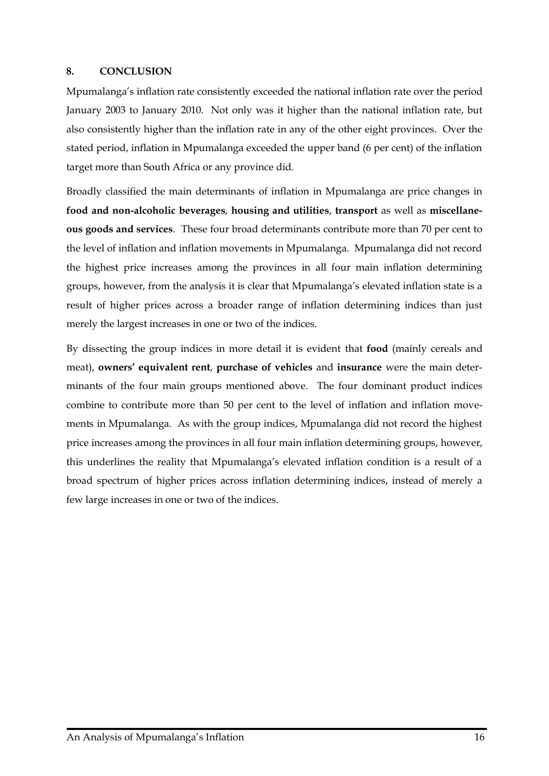#### <span id="page-19-0"></span>**8. CONCLUSION**

Mpumalanga's inflation rate consistently exceeded the national inflation rate over the period January 2003 to January 2010. Not only was it higher than the national inflation rate, but also consistently higher than the inflation rate in any of the other eight provinces. Over the stated period, inflation in Mpumalanga exceeded the upper band (6 per cent) of the inflation target more than South Africa or any province did.

Broadly classified the main determinants of inflation in Mpumalanga are price changes in **food and non-alcoholic beverages**, **housing and utilities**, **transport** as well as **miscellaneous goods and services**. These four broad determinants contribute more than 70 per cent to the level of inflation and inflation movements in Mpumalanga. Mpumalanga did not record the highest price increases among the provinces in all four main inflation determining groups, however, from the analysis it is clear that Mpumalanga's elevated inflation state is a result of higher prices across a broader range of inflation determining indices than just merely the largest increases in one or two of the indices.

By dissecting the group indices in more detail it is evident that **food** (mainly cereals and meat), **owners' equivalent rent**, **purchase of vehicles** and **insurance** were the main determinants of the four main groups mentioned above. The four dominant product indices combine to contribute more than 50 per cent to the level of inflation and inflation movements in Mpumalanga. As with the group indices, Mpumalanga did not record the highest price increases among the provinces in all four main inflation determining groups, however, this underlines the reality that Mpumalanga's elevated inflation condition is a result of a broad spectrum of higher prices across inflation determining indices, instead of merely a few large increases in one or two of the indices.